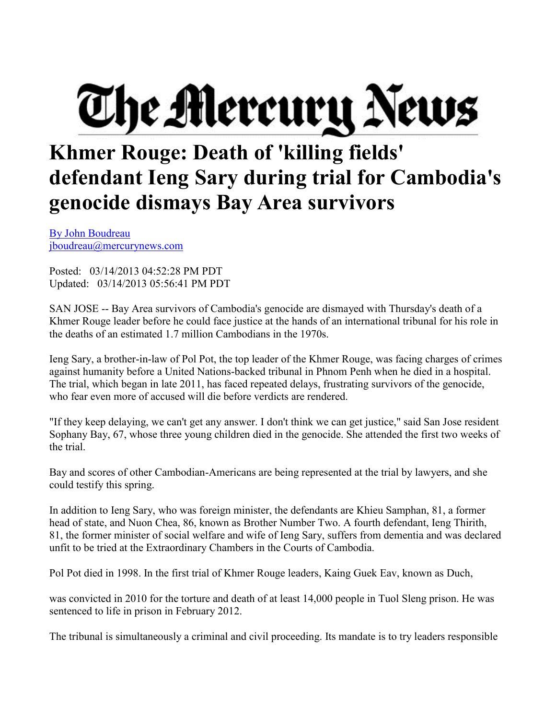## The Mercury News

## **Khmer Rouge: Death of 'killing fields' defendant Ieng Sary during trial for Cambodia's genocide dismays Bay Area survivor[s](mailto:jboudreau@mercurynews.com?subject=San%20Jose%20Mercury%20News:)**

[By John Boudreau](mailto:jboudreau@mercurynews.com?subject=San%20Jose%20Mercury%20News:) [jboudreau@mercurynews.com](mailto:jboudreau@mercurynews.com)

Posted: 03/14/2013 04:52:28 PM PDT Updated: 03/14/2013 05:56:41 PM PDT

SAN JOSE -- Bay Area survivors of Cambodia's genocide are dismayed with Thursday's death of a Khmer Rouge leader before he could face justice at the hands of an international tribunal for his role in the deaths of an estimated 1.7 million Cambodians in the 1970s.

Ieng Sary, a brother-in-law of Pol Pot, the top leader of the Khmer Rouge, was facing charges of crimes against humanity before a United Nations-backed tribunal in Phnom Penh when he died in a hospital. The trial, which began in late 2011, has faced repeated delays, frustrating survivors of the genocide, who fear even more of accused will die before verdicts are rendered.

"If they keep delaying, we can't get any answer. I don't think we can get justice," said San Jose resident Sophany Bay, 67, whose three young children died in the genocide. She attended the first two weeks of the trial.

Bay and scores of other Cambodian-Americans are being represented at the trial by lawyers, and she could testify this spring.

In addition to Ieng Sary, who was foreign minister, the defendants are Khieu Samphan, 81, a former head of state, and Nuon Chea, 86, known as Brother Number Two. A fourth defendant, Ieng Thirith, 81, the former minister of social welfare and wife of Ieng Sary, suffers from dementia and was declared unfit to be tried at the Extraordinary Chambers in the Courts of Cambodia.

Pol Pot died in 1998. In the first trial of Khmer Rouge leaders, Kaing Guek Eav, known as Duch,

was convicted in 2010 for the torture and death of at least 14,000 people in Tuol Sleng prison. He was sentenced to life in prison in February 2012.

The tribunal is simultaneously a criminal and civil proceeding. Its mandate is to try leaders responsible